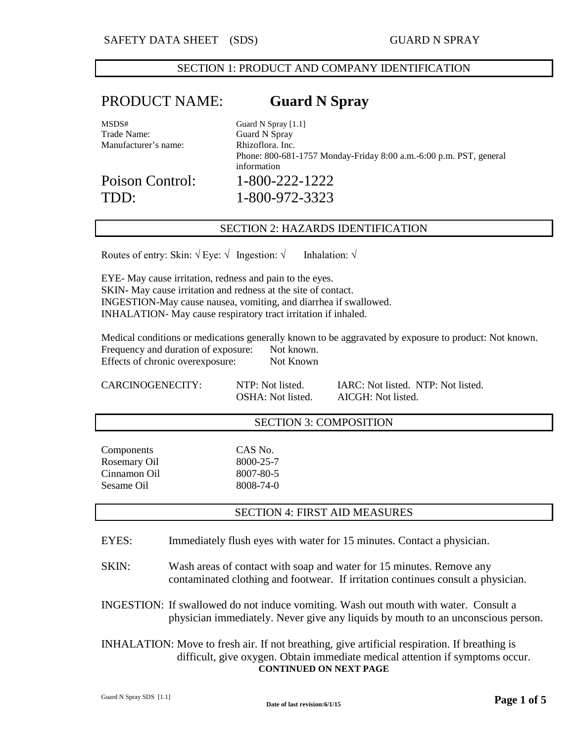## SECTION 1: PRODUCT AND COMPANY IDENTIFICATION

# PRODUCT NAME: **Guard N Spray**

| MSDS#                | Guard N Spray $[1.1]$                                                             |
|----------------------|-----------------------------------------------------------------------------------|
| Trade Name:          | Guard N Spray                                                                     |
| Manufacturer's name: | Rhizoflora, Inc.                                                                  |
|                      | Phone: 800-681-1757 Monday-Friday 8:00 a.m.-6:00 p.m. PST, general<br>information |
| Poison Control:      | 1-800-222-1222                                                                    |
| TDD:                 | 1-800-972-3323                                                                    |

### SECTION 2: HAZARDS IDENTIFICATION

Routes of entry: Skin:  $\sqrt{E}$  Eye:  $\sqrt{\ }$  Ingestion:  $\sqrt{\ }$  Inhalation:  $\sqrt{\ }$ 

EYE- May cause irritation, redness and pain to the eyes. SKIN- May cause irritation and redness at the site of contact. INGESTION-May cause nausea, vomiting, and diarrhea if swallowed. INHALATION- May cause respiratory tract irritation if inhaled.

Medical conditions or medications generally known to be aggravated by exposure to product: Not known. Frequency and duration of exposure: Not known. Effects of chronic overexposure: Not Known

CARCINOGENECITY: NTP: Not listed. IARC: Not listed. NTP: Not listed. OSHA: Not listed. AICGH: Not listed.

## SECTION 3: COMPOSITION

Components CAS No. Rosemary Oil 8000-25-7 Cinnamon Oil 8007-80-5 Sesame Oil 8008-74-0

## SECTION 4: FIRST AID MEASURES

- EYES: Immediately flush eyes with water for 15 minutes. Contact a physician.
- SKIN: Wash areas of contact with soap and water for 15 minutes. Remove any contaminated clothing and footwear. If irritation continues consult a physician.
- INGESTION: If swallowed do not induce vomiting. Wash out mouth with water. Consult a physician immediately. Never give any liquids by mouth to an unconscious person.
- INHALATION: Move to fresh air. If not breathing, give artificial respiration. If breathing is difficult, give oxygen. Obtain immediate medical attention if symptoms occur. **CONTINUED ON NEXT PAGE**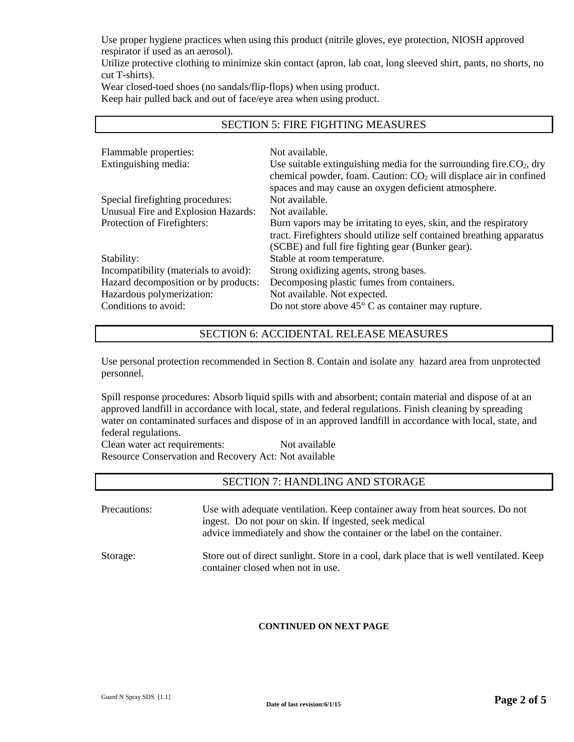Use proper hygiene practices when using this product (nitrile gloves, eye protection, NIOSH approved respirator if used as an aerosol).

Utilize protective clothing to minimize skin contact (apron, lab coat, long sleeved shirt, pants, no shorts, no cut T-shirts).

SECTION 5: FIRE FIGHTING MEASURES

Wear closed-toed shoes (no sandals/flip-flops) when using product. Keep hair pulled back and out of face/eye area when using product.

| Flammable properties:                 | Not available.                                                         |
|---------------------------------------|------------------------------------------------------------------------|
| Extinguishing media:                  | Use suitable extinguishing media for the surrounding fire. $CO2$ , dry |
|                                       | chemical powder, foam. Caution: $CO2$ will displace air in confined    |
|                                       | spaces and may cause an oxygen deficient atmosphere.                   |
| Special firefighting procedures:      | Not available.                                                         |
| Unusual Fire and Explosion Hazards:   | Not available.                                                         |
| Protection of Firefighters:           | Burn vapors may be irritating to eyes, skin, and the respiratory       |
|                                       | tract. Firefighters should utilize self contained breathing apparatus  |
|                                       | (SCBE) and full fire fighting gear (Bunker gear).                      |
| Stability:                            | Stable at room temperature.                                            |
| Incompatibility (materials to avoid): | Strong oxidizing agents, strong bases.                                 |
| Hazard decomposition or by products:  | Decomposing plastic fumes from containers.                             |
| Hazardous polymerization:             | Not available. Not expected.                                           |
| Conditions to avoid:                  | Do not store above $45^{\circ}$ C as container may rupture.            |

# SECTION 6: ACCIDENTAL RELEASE MEASURES

Use personal protection recommended in Section 8. Contain and isolate any hazard area from unprotected personnel.

Spill response procedures: Absorb liquid spills with and absorbent; contain material and dispose of at an approved landfill in accordance with local, state, and federal regulations. Finish cleaning by spreading water on contaminated surfaces and dispose of in an approved landfill in accordance with local, state, and federal regulations.

Clean water act requirements: Not available Resource Conservation and Recovery Act: Not available

## SECTION 7: HANDLING AND STORAGE

| Precautions: | Use with adequate ventilation. Keep container away from heat sources. Do not<br>ingest. Do not pour on skin. If ingested, seek medical<br>advice immediately and show the container or the label on the container. |
|--------------|--------------------------------------------------------------------------------------------------------------------------------------------------------------------------------------------------------------------|
| Storage:     | Store out of direct sunlight. Store in a cool, dark place that is well ventilated. Keep<br>container closed when not in use.                                                                                       |

## **CONTINUED ON NEXT PAGE**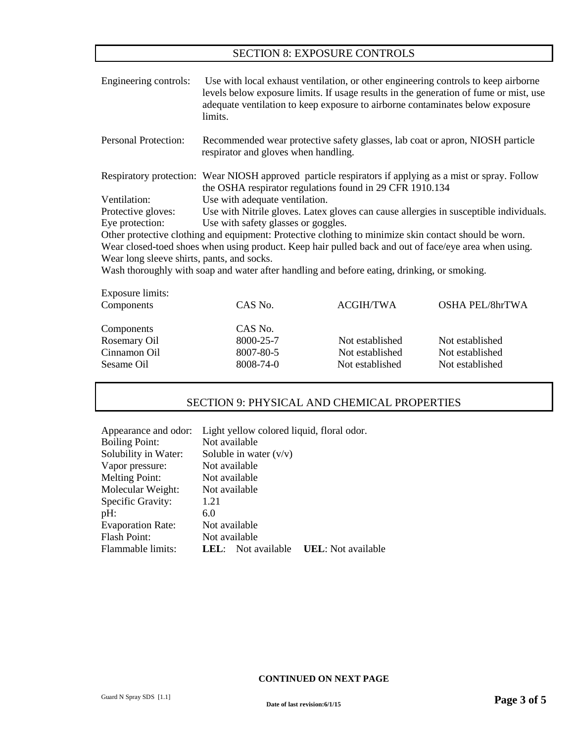## SECTION 8: EXPOSURE CONTROLS

| Engineering controls:                      | limits.                                                                               | adequate ventilation to keep exposure to airborne contaminates below exposure                         | Use with local exhaust ventilation, or other engineering controls to keep airborne<br>levels below exposure limits. If usage results in the generation of fume or mist, use |
|--------------------------------------------|---------------------------------------------------------------------------------------|-------------------------------------------------------------------------------------------------------|-----------------------------------------------------------------------------------------------------------------------------------------------------------------------------|
| <b>Personal Protection:</b>                | respirator and gloves when handling.                                                  |                                                                                                       | Recommended wear protective safety glasses, lab coat or apron, NIOSH particle                                                                                               |
|                                            |                                                                                       | the OSHA respirator regulations found in 29 CFR 1910.134                                              | Respiratory protection: Wear NIOSH approved particle respirators if applying as a mist or spray. Follow                                                                     |
| Ventilation:                               | Use with adequate ventilation.                                                        |                                                                                                       |                                                                                                                                                                             |
| Protective gloves:                         | Use with Nitrile gloves. Latex gloves can cause allergies in susceptible individuals. |                                                                                                       |                                                                                                                                                                             |
| Eye protection:                            | Use with safety glasses or goggles.                                                   |                                                                                                       |                                                                                                                                                                             |
|                                            |                                                                                       | Other protective clothing and equipment: Protective clothing to minimize skin contact should be worn. |                                                                                                                                                                             |
|                                            |                                                                                       |                                                                                                       | Wear closed-toed shoes when using product. Keep hair pulled back and out of face/eye area when using.                                                                       |
| Wear long sleeve shirts, pants, and socks. |                                                                                       |                                                                                                       |                                                                                                                                                                             |
|                                            |                                                                                       | Wash thoroughly with soap and water after handling and before eating, drinking, or smoking.           |                                                                                                                                                                             |
| <b>Exposure limits:</b>                    |                                                                                       |                                                                                                       |                                                                                                                                                                             |
| Components                                 | CAS No.                                                                               | <b>ACGIH/TWA</b>                                                                                      | <b>OSHA PEL/8hrTWA</b>                                                                                                                                                      |
| Components                                 | CAS No.                                                                               |                                                                                                       |                                                                                                                                                                             |
| Rosemary Oil                               | 8000-25-7                                                                             | Not established                                                                                       | Not established                                                                                                                                                             |
| Cinnamon Oil                               | 8007-80-5                                                                             | Not established                                                                                       | Not established                                                                                                                                                             |

# SECTION 9: PHYSICAL AND CHEMICAL PROPERTIES

Sesame Oil 8008-74-0 Not established Not established

| Appearance and odor:     | Light yellow colored liquid, floral odor.           |  |
|--------------------------|-----------------------------------------------------|--|
| <b>Boiling Point:</b>    | Not available                                       |  |
| Solubility in Water:     | Soluble in water $(v/v)$                            |  |
| Vapor pressure:          | Not available                                       |  |
| <b>Melting Point:</b>    | Not available                                       |  |
| Molecular Weight:        | Not available                                       |  |
| Specific Gravity:        | 1.21                                                |  |
| pH:                      | 6.0                                                 |  |
| <b>Evaporation Rate:</b> | Not available                                       |  |
| Flash Point:             | Not available                                       |  |
| Flammable limits:        | <b>UEL</b> : Not available<br>Not available<br>LEL: |  |

#### **CONTINUED ON NEXT PAGE**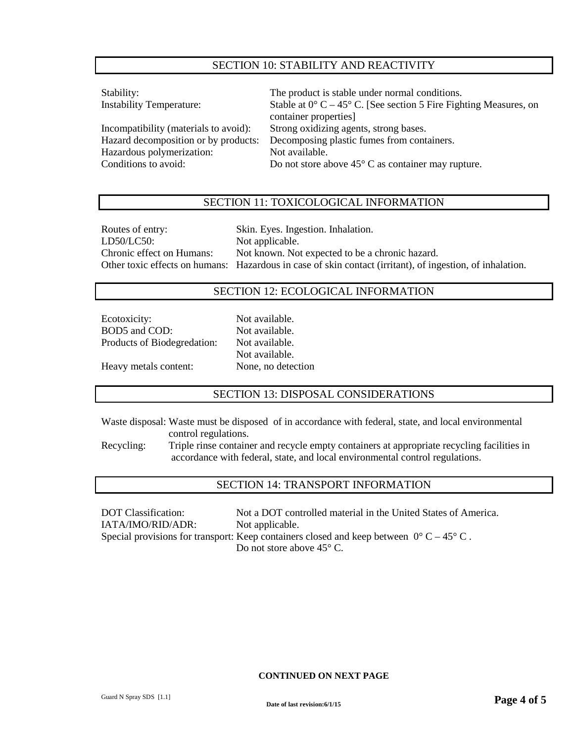## SECTION 10: STABILITY AND REACTIVITY

| Stability:                            | The product is stable under normal conditions.                             |
|---------------------------------------|----------------------------------------------------------------------------|
| <b>Instability Temperature:</b>       | Stable at $0^{\circ}$ C – 45° C. [See section 5 Fire Fighting Measures, on |
|                                       | container properties]                                                      |
| Incompatibility (materials to avoid): | Strong oxidizing agents, strong bases.                                     |
| Hazard decomposition or by products:  | Decomposing plastic fumes from containers.                                 |
| Hazardous polymerization:             | Not available.                                                             |
| Conditions to avoid:                  | Do not store above $45^{\circ}$ C as container may rupture.                |
|                                       |                                                                            |

## SECTION 11: TOXICOLOGICAL INFORMATION

| Routes of entry:          | Skin. Eyes. Ingestion. Inhalation.                                                                        |
|---------------------------|-----------------------------------------------------------------------------------------------------------|
| LD50/LC50:                | Not applicable.                                                                                           |
| Chronic effect on Humans: | Not known. Not expected to be a chronic hazard.                                                           |
|                           | Other toxic effects on humans: Hazardous in case of skin contact (irritant), of ingestion, of inhalation. |

## SECTION 12: ECOLOGICAL INFORMATION

| Ecotoxicity:                | Not available.     |
|-----------------------------|--------------------|
| BOD5 and COD:               | Not available.     |
| Products of Biodegredation: | Not available.     |
|                             | Not available.     |
| Heavy metals content:       | None, no detection |

## SECTION 13: DISPOSAL CONSIDERATIONS

Waste disposal: Waste must be disposed of in accordance with federal, state, and local environmental control regulations.

Recycling: Triple rinse container and recycle empty containers at appropriate recycling facilities in accordance with federal, state, and local environmental control regulations.

## SECTION 14: TRANSPORT INFORMATION

DOT Classification: Not a DOT controlled material in the United States of America. IATA/IMO/RID/ADR: Not applicable. Special provisions for transport: Keep containers closed and keep between  $0^{\circ}$  C – 45° C. Do not store above 45° C.

### **CONTINUED ON NEXT PAGE**